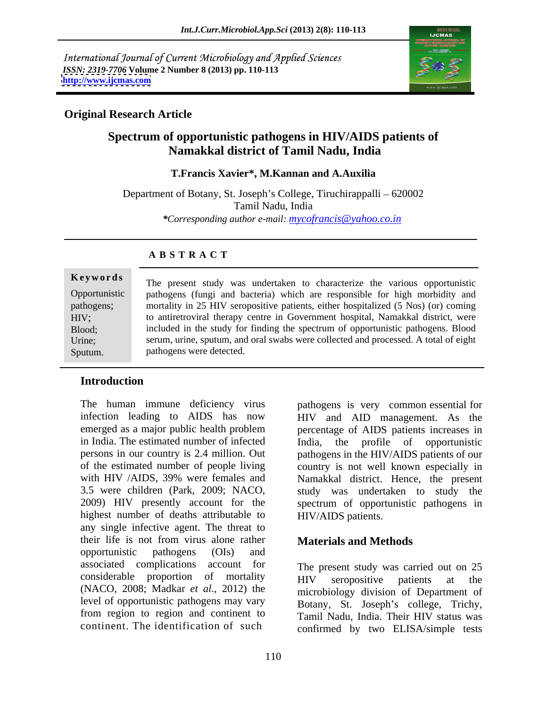International Journal of Current Microbiology and Applied Sciences *ISSN: 2319-7706* **Volume 2 Number 8 (2013) pp. 110-113 <http://www.ijcmas.com>**



### **Original Research Article**

# **Spectrum of opportunistic pathogens in HIV/AIDS patients of Namakkal district of Tamil Nadu, India**

### **T.Francis Xavier\*, M.Kannan and A.Auxilia**

Department of Botany, St. Joseph's College, Tiruchirappalli – 620002 Tamil Nadu, India *\*Corresponding author e-mail: mycofrancis@yahoo.co.in*

### **A B S T R A C T**

**Keywords** The present study was undertaken to characterize the various opportunistic Opportunistic pathogens (fungi and bacteria) which are responsible for high morbidity and pathogens; mortality in 25 HIV seropositive patients, either hospitalized (5 Nos) (or) coming HIV; to antiretroviral therapy centre in Government hospital, Namakkal district, were Blood; included in the study for finding the spectrum of opportunistic pathogens. Blood Urine; serum, urine, sputum, and oral swabs were collected and processed. A total of eight The present study was undertaken to characterize the various opportunistic<br>Opportunistic pathogens (fungi and bacteria) which are responsible for high morbidity and<br>pathogens;<br>mortality in 25 HIV seropositive patients, eit pathogens were detected.

## **Introduction**

.

The human immune deficiency virus highest number of deaths attributable to any single infective agent. The threat to their life is not from virus alone rather opportunistic pathogens (OIs) and associated complications account for The present study was carried out on 25 considerable proportion of mortality  $HIV$  seropositive patients at the (NACO, 2008; Madkar *et al.,* 2012) the level of opportunistic pathogens may vary from region to region and continent to

infection leading to AIDS has now HIV and AID management. As the emerged as a major public health problem percentage of AIDS patients increases in in India. The estimated number of infected India, the profile of opportunistic persons in our country is 2.4 million. Out pathogens in the HIV/AIDS patients of our of the estimated number of people living country is not well known especially in with HIV /AIDS, 39% were females and Namakkal district. Hence, the present 3.5 were children (Park, 2009; NACO, study was undertaken to study the 2009) HIV presently account for the spectrum of opportunistic pathogens in pathogens is very common essential for HIV/AIDS patients.

## **Materials and Methods**

continent. The identification of such confirmed by two ELISA/simple tests HIV seropositive patients at the microbiology division of Department of Botany, St. Joseph's college, Trichy, Tamil Nadu, India. Their HIV status was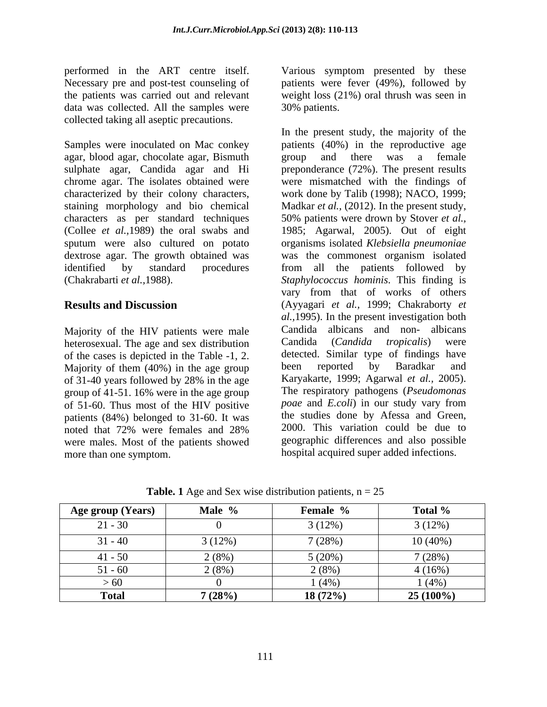data was collected. All the samples were 30% patients. collected taking all aseptic precautions.

agar, blood agar, chocolate agar, Bismuth characters as per standard techniques 50% patients were drown by Stover et al.,

Majority of the HIV patients were male<br>heterosexual The age and sex distribution Candida (Candida tropicalis) were heterosexual. The age and sex distribution of the cases is depicted in the Table -1, 2. detected. Similar type of findings have<br>Majority of them  $(40\%)$  in the age group been reported by Baradkar and Majority of them (40%) in the age group group of 41-51. 16% were in the age group The respiratory pathogens (*Pseudomonas*<br>of 51-60. Thus most of the HIV positive *poae* and *E.coli*) in our study vary from of 51-60. Thus most of the HIV positive patients (84%) belonged to 31-60. It was were males. Most of the patients showed more than one symptom. hospital acquired super added infections.

performed in the ART centre itself. Various symptom presented by these Necessary pre and post-test counseling of patients were fever (49%), followed by the patients was carried out and relevant weight loss (21%) oral thrush was seen in 30% patients.

Samples were inoculated on Mac conkey patients (40%) in the reproductive age sulphate agar, Candida agar and Hi preponderance (72%). The present results chrome agar. The isolates obtained were were mismatched with the findings of characterized by their colony characters, work done by Talib (1998); NACO, 1999; staining morphology and bio chemical Madkar *et al.,* (2012). In the present study, (Collee *et al.,*1989) the oral swabs and 1985; Agarwal, 2005). Out of eight sputum were also cultured on potato organisms isolated *Klebsiella pneumoniae* dextrose agar. The growth obtained was was the commonest organism isolated identified by standard procedures from all the patients followed by (Chakrabarti *et al.,*1988). *Staphylococcus hominis*. This finding is **Results and Discussion** (Ayyagari *et al.,* 1999; Chakraborty *et*  of 31-40 years followed by 28% in the age Karyakarte, 1999; Agarwal *et al.*, 2005). noted that 72% were females and 28% 2000. This variation could be due to In the present study, the majority of the group and there was a female 50% patients were drown by Stover *et al.,* vary from that of works of others *al.,*1995). In the present investigation both Candida albicans and non- albicans Candida (*Candida tropicalis*) were detected. Similar type of findings have been reported by Baradkar and Karyakarte, 1999; Agarwal *et al.,* 2005). The respiratory pathogens(*Pseudomonas poae* and *E.coli*) in our study vary from the studies done by Afessa and Green, 2000. This variation could be due to geographic differences and also possible

| <b>Age group (Years)</b> | Male %          | Female % | Total %     |
|--------------------------|-----------------|----------|-------------|
| $21 - 30$                |                 | 3(12%)   | 3(12%)      |
| $31 - 40$                | 3(12%)          | 7(28%)   | $10(40\%)$  |
| $41 - 50$                |                 |          | 7(28%)      |
| 51 - 60                  |                 | $(8\%)$  | $4(16\%)$   |
| >60                      |                 | $(4\%)$  | $(4\%)$     |
| Total                    | 7(200/<br>(207) | 18(72%)  | $25(100\%)$ |

**Table. 1** Age and Sex wise distribution patients,  $n = 25$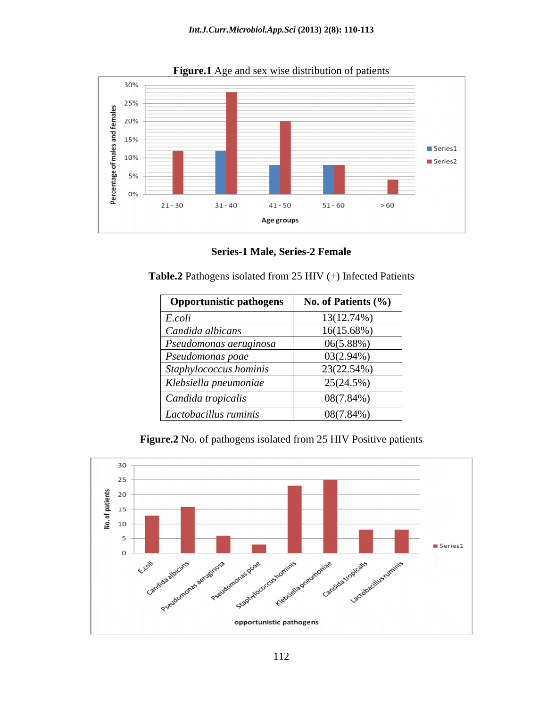

**Figure.1** Age and sex wise distribution of patients

**Series-1 Male, Series-2 Female**

**Table.2** Pathogens isolated from 25 HIV (+) Infected Patients

| <b>Opportunistic pathogens</b> | No. of Patients (%) |
|--------------------------------|---------------------|
| E.coli                         | $13(12.74\%)$       |
| Candida albicans               | 16(15.68%)          |
| $\vert$ Pseudomonas aeruginosa | $06(5.88\%)$        |
| $\vert$ Pseudomonas poae       | $03(2.94\%)$        |
| Staphylococcus hominis         | 23(22.54%)          |
| Klebsiella pneumoniae          | 25(24.5%)           |
| Candida tropicalis             | 08(7.84%)           |
| <i>Lactobacillus ruminis</i>   | $08(7.84\%)$        |

**Figure.2** No. of pathogens isolated from 25 HIV Positive patients